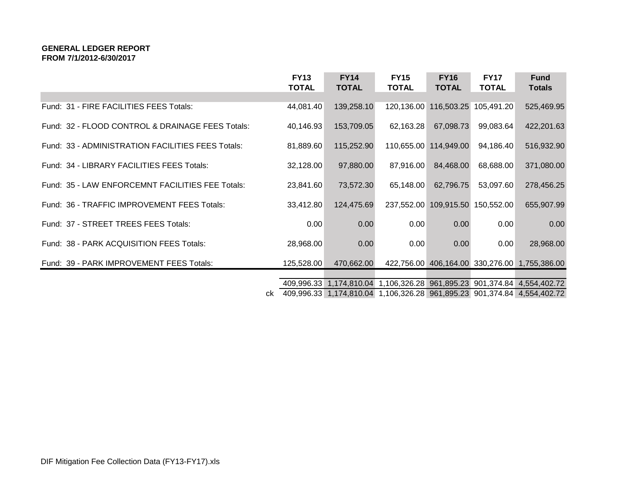### **GENERAL LEDGER REPORT FROM 7/1/2012-6/30/2017**

|                                                   | <b>FY13</b><br><b>TOTAL</b> | <b>FY14</b><br><b>TOTAL</b> | <b>FY15</b><br><b>TOTAL</b> | <b>FY16</b><br><b>TOTAL</b> | <b>FY17</b><br><b>TOTAL</b>      | <b>Fund</b><br><b>Totals</b>                                            |
|---------------------------------------------------|-----------------------------|-----------------------------|-----------------------------|-----------------------------|----------------------------------|-------------------------------------------------------------------------|
|                                                   |                             |                             |                             |                             |                                  |                                                                         |
| Fund: 31 - FIRE FACILITIES FEES Totals:           | 44,081.40                   | 139,258.10                  |                             |                             | 120,136.00 116,503.25 105,491.20 | 525,469.95                                                              |
| Fund: 32 - FLOOD CONTROL & DRAINAGE FEES Totals:  | 40,146.93                   | 153,709.05                  | 62,163.28                   | 67,098.73                   | 99,083.64                        | 422,201.63                                                              |
| Fund: 33 - ADMINISTRATION FACILITIES FEES Totals: | 81,889.60                   | 115,252.90                  |                             | 110,655.00 114,949.00       | 94,186.40                        | 516,932.90                                                              |
| Fund: 34 - LIBRARY FACILITIES FEES Totals:        | 32,128.00                   | 97,880.00                   | 87,916.00                   | 84,468.00                   | 68,688.00                        | 371,080.00                                                              |
| Fund: 35 - LAW ENFORCEMNT FACILITIES FEE Totals:  | 23,841.60                   | 73,572.30                   | 65,148.00                   | 62,796.75                   | 53,097.60                        | 278,456.25                                                              |
| Fund: 36 - TRAFFIC IMPROVEMENT FEES Totals:       | 33,412.80                   | 124,475.69                  |                             |                             | 237,552.00 109,915.50 150,552.00 | 655,907.99                                                              |
| Fund: 37 - STREET TREES FEES Totals:              | 0.00                        | 0.00                        | 0.00                        | 0.00                        | 0.00                             | 0.00                                                                    |
| Fund: 38 - PARK ACQUISITION FEES Totals:          | 28,968.00                   | 0.00                        | 0.00                        | 0.00                        | 0.00                             | 28,968.00                                                               |
| Fund: 39 - PARK IMPROVEMENT FEES Totals:          | 125,528.00                  | 470,662.00                  |                             |                             |                                  | 422,756.00 406,164.00 330,276.00 1,755,386.00                           |
|                                                   |                             |                             |                             |                             |                                  |                                                                         |
|                                                   | 409,996.33                  |                             |                             |                             |                                  | 1,174,810.04 1,106,326.28 961,895.23 901,374.84 4,554,402.72            |
| ck                                                |                             |                             |                             |                             |                                  | 409,996.33 1,174,810.04 1,106,326.28 961,895.23 901,374.84 4,554,402.72 |

DIF Mitigation Fee Collection Data (FY13-FY17).xls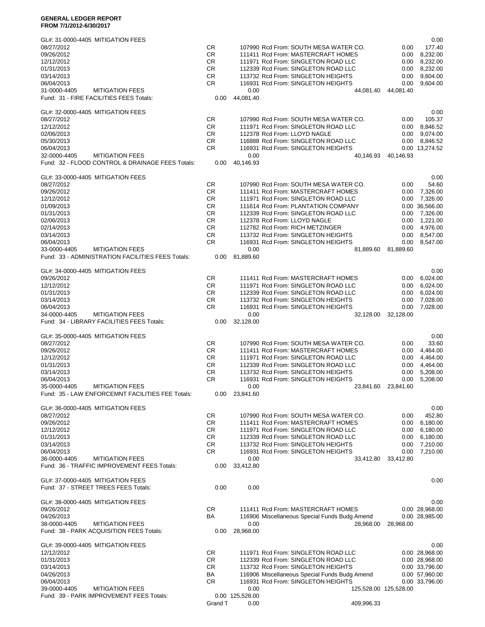#### **GENERAL LEDGER REPORT FROM 7/1/2012-6/30/2017**

| GL#: 31-0000-4405 MITIGATION FEES                                                          |           |                         |                                                                           |                       | 0.00                 |
|--------------------------------------------------------------------------------------------|-----------|-------------------------|---------------------------------------------------------------------------|-----------------------|----------------------|
| 08/27/2012                                                                                 | CR        |                         | 107990 Rcd From: SOUTH MESA WATER CO.                                     | 0.00                  | 177.40               |
| 09/26/2012<br>12/12/2012                                                                   | CR<br>CR  |                         | 111411 Rcd From: MASTERCRAFT HOMES<br>111971 Rcd From: SINGLETON ROAD LLC | 0.00<br>0.00          | 8,232.00<br>8,232.00 |
| 01/31/2013                                                                                 | CR        |                         | 112339 Rcd From: SINGLETON ROAD LLC                                       | 0.00                  | 8,232.00             |
| 03/14/2013                                                                                 | CR        |                         | 113732 Rcd From: SINGLETON HEIGHTS                                        | 0.00                  | 9,604.00             |
| 06/04/2013                                                                                 | CR        |                         | 116931 Rcd From: SINGLETON HEIGHTS                                        | 0.00                  | 9,604.00             |
| 31-0000-4405<br><b>MITIGATION FEES</b>                                                     |           | 0.00                    | 44,081.40                                                                 | 44,081.40             |                      |
| Fund: 31 - FIRE FACILITIES FEES Totals:                                                    | 0.00      | 44,081.40               |                                                                           |                       |                      |
|                                                                                            |           |                         |                                                                           |                       |                      |
| GL#: 32-0000-4405 MITIGATION FEES                                                          |           |                         |                                                                           |                       | 0.00                 |
| 08/27/2012                                                                                 | <b>CR</b> |                         | 107990 Rcd From: SOUTH MESA WATER CO.                                     | 0.00                  | 105.37               |
| 12/12/2012                                                                                 | <b>CR</b> |                         | 111971 Rcd From: SINGLETON ROAD LLC                                       | 0.00                  | 8,846.52             |
| 02/06/2013                                                                                 | CR.       |                         | 112378 Rcd From: LLOYD NAGLE                                              | 0.00                  | 9,074.00             |
| 05/30/2013                                                                                 | CR        |                         | 116888 Rcd From: SINGLETON ROAD LLC                                       |                       | 0.00 8,846.52        |
| 06/04/2013                                                                                 | CR        |                         | 116931 Rcd From: SINGLETON HEIGHTS                                        |                       | 0.00 13,274.52       |
| <b>MITIGATION FEES</b><br>32-0000-4405<br>Fund: 32 - FLOOD CONTROL & DRAINAGE FEES Totals: |           | 0.00                    | 40,146.93                                                                 | 40,146.93             |                      |
|                                                                                            | 0.00      | 40,146.93               |                                                                           |                       |                      |
| GL#: 33-0000-4405 MITIGATION FEES                                                          |           |                         |                                                                           |                       | 0.00                 |
| 08/27/2012                                                                                 | CR        |                         | 107990 Rcd From: SOUTH MESA WATER CO.                                     | 0.00                  | 54.60                |
| 09/26/2012                                                                                 | CR.       |                         | 111411 Rcd From: MASTERCRAFT HOMES                                        | 0.00                  | 7,326.00             |
| 12/12/2012                                                                                 | CR.       |                         | 111971 Rcd From: SINGLETON ROAD LLC                                       | 0.00                  | 7,326.00             |
| 01/09/2013                                                                                 | CR        |                         | 111614 Rcd From: PLANTATION COMPANY                                       |                       | 0.00 36,566.00       |
| 01/31/2013                                                                                 | CR.       |                         | 112339 Rcd From: SINGLETON ROAD LLC                                       | 0.00                  | 7,326.00             |
| 02/06/2013                                                                                 | CR.       |                         | 112378 Rcd From: LLOYD NAGLE                                              | 0.00                  | 1,221.00             |
| 02/14/2013                                                                                 | CR.       |                         | 112782 Rcd From: RICH METZINGER                                           | 0.00                  | 4,976.00             |
| 03/14/2013                                                                                 | CR        |                         | 113732 Rcd From: SINGLETON HEIGHTS                                        | 0.00                  | 8,547.00             |
| 06/04/2013                                                                                 | <b>CR</b> |                         | 116931 Rcd From: SINGLETON HEIGHTS                                        | 0.00                  | 8,547.00             |
| <b>MITIGATION FEES</b><br>33-0000-4405                                                     |           | 0.00                    | 81,889.60                                                                 | 81,889.60             |                      |
| Fund: 33 - ADMINISTRATION FACILITIES FEES Totals:                                          | 0.00      | 81,889.60               |                                                                           |                       |                      |
| GL#: 34-0000-4405 MITIGATION FEES                                                          |           |                         |                                                                           |                       | 0.00                 |
| 09/26/2012                                                                                 | CR        |                         | 111411 Rcd From: MASTERCRAFT HOMES                                        | 0.00                  | 6,024.00             |
| 12/12/2012                                                                                 | CR.       |                         | 111971 Rcd From: SINGLETON ROAD LLC                                       | 0.00                  | 6,024.00             |
| 01/31/2013                                                                                 | CR        |                         | 112339 Rcd From: SINGLETON ROAD LLC                                       | 0.00                  | 6,024.00             |
| 03/14/2013                                                                                 | <b>CR</b> |                         | 113732 Rcd From: SINGLETON HEIGHTS                                        | 0.00                  | 7,028.00             |
| 06/04/2013                                                                                 | <b>CR</b> |                         | 116931 Rcd From: SINGLETON HEIGHTS                                        | 0.00                  | 7,028.00             |
| <b>MITIGATION FEES</b><br>34-0000-4405                                                     |           | 0.00                    | 32,128.00                                                                 | 32,128.00             |                      |
| Fund: 34 - LIBRARY FACILITIES FEES Totals:                                                 | 0.00      | 32,128.00               |                                                                           |                       |                      |
|                                                                                            |           |                         |                                                                           |                       |                      |
| GL#: 35-0000-4405 MITIGATION FEES                                                          |           |                         |                                                                           |                       | 0.00                 |
| 08/27/2012                                                                                 | CR.       |                         | 107990 Rcd From: SOUTH MESA WATER CO.                                     | 0.00                  | 33.60                |
| 09/26/2012                                                                                 | CR.       |                         | 111411 Rcd From: MASTERCRAFT HOMES                                        | 0.00                  | 4.464.00             |
| 12/12/2012                                                                                 | CR.       |                         | 111971 Rcd From: SINGLETON ROAD LLC                                       | 0.00                  | 4,464.00             |
| 01/31/2013                                                                                 | CR.       |                         | 112339 Rcd From: SINGLETON ROAD LLC                                       | 0.00                  | 4,464.00             |
| 03/14/2013                                                                                 | CR.       |                         | 113732 Rcd From: SINGLETON HEIGHTS                                        | 0.00                  | 5,208.00             |
| 06/04/2013<br>35-0000-4405<br><b>MITIGATION FEES</b>                                       | <b>CR</b> | 0.00                    | 116931 Rcd From: SINGLETON HEIGHTS<br>23,841.60                           | 0.00<br>23,841.60     | 5,208.00             |
| Fund: 35 - LAW ENFORCEMNT FACILITIES FEE Totals:                                           | 0.00      | 23,841.60               |                                                                           |                       |                      |
|                                                                                            |           |                         |                                                                           |                       |                      |
| GL#: 36-0000-4405 MITIGATION FEES                                                          |           |                         |                                                                           |                       | 0.00                 |
| 08/27/2012                                                                                 | CR.       |                         | 107990 Rcd From: SOUTH MESA WATER CO.                                     | 0.00                  | 452.80               |
| 09/26/2012                                                                                 | CR.       |                         | 111411 Rcd From: MASTERCRAFT HOMES                                        | 0.00                  | 6,180.00             |
| 12/12/2012                                                                                 | CR.       |                         | 111971 Rcd From: SINGLETON ROAD LLC                                       | 0.00                  | 6,180.00             |
| 01/31/2013                                                                                 | CR.       |                         | 112339 Rcd From: SINGLETON ROAD LLC                                       | 0.00                  | 6,180.00             |
| 03/14/2013                                                                                 | CR.       |                         | 113732 Rcd From: SINGLETON HEIGHTS                                        | 0.00                  | 7,210.00             |
| 06/04/2013                                                                                 | CR.       |                         | 116931 Rcd From: SINGLETON HEIGHTS                                        | 0.00                  | 7,210.00             |
| 36-0000-4405<br><b>MITIGATION FEES</b>                                                     |           | 0.00                    | 33,412.80                                                                 | 33,412.80             |                      |
| Fund: 36 - TRAFFIC IMPROVEMENT FEES Totals:                                                | 0.00      | 33,412.80               |                                                                           |                       |                      |
|                                                                                            |           |                         |                                                                           |                       |                      |
| GL#: 37-0000-4405 MITIGATION FEES<br>Fund: 37 - STREET TREES FEES Totals:                  | 0.00      | 0.00                    |                                                                           |                       | 0.00                 |
|                                                                                            |           |                         |                                                                           |                       |                      |
| GL#: 38-0000-4405 MITIGATION FEES                                                          |           |                         |                                                                           |                       | 0.00                 |
| 09/26/2012                                                                                 | CR.       |                         | 111411 Rcd From: MASTERCRAFT HOMES                                        |                       | 0.00 28,968.00       |
| 04/26/2013                                                                                 | BA        |                         | 116906 Miscellaneous Special Funds Budg Amend                             |                       | 0.00 28,985.00       |
| 38-0000-4405<br><b>MITIGATION FEES</b>                                                     |           | 0.00                    | 28,968.00                                                                 | 28,968.00             |                      |
| Fund: 38 - PARK ACQUISITION FEES Totals:                                                   | 0.00      | 28,968.00               |                                                                           |                       |                      |
|                                                                                            |           |                         |                                                                           |                       |                      |
| GL#: 39-0000-4405 MITIGATION FEES                                                          |           |                         |                                                                           |                       | 0.00                 |
| 12/12/2012                                                                                 | CR.       |                         | 111971 Rcd From: SINGLETON ROAD LLC                                       |                       | 0.00 28,968.00       |
| 01/31/2013                                                                                 | CR        |                         | 112339 Rcd From: SINGLETON ROAD LLC                                       |                       | 0.00 28,968.00       |
| 03/14/2013                                                                                 | CR        |                         | 113732 Rcd From: SINGLETON HEIGHTS                                        |                       | 0.00 33,796.00       |
| 04/26/2013                                                                                 | BA        |                         | 116906 Miscellaneous Special Funds Budg Amend                             |                       | 0.00 57,960.00       |
| 06/04/2013                                                                                 | CR        |                         | 116931 Rcd From: SINGLETON HEIGHTS                                        |                       | 0.00 33,796.00       |
| <b>MITIGATION FEES</b><br>39-0000-4405<br>Fund: 39 - PARK IMPROVEMENT FEES Totals:         |           | 0.00<br>0.00 125,528.00 |                                                                           | 125,528.00 125,528.00 |                      |
|                                                                                            | Grand T   | 0.00                    | 409,996.33                                                                |                       |                      |
|                                                                                            |           |                         |                                                                           |                       |                      |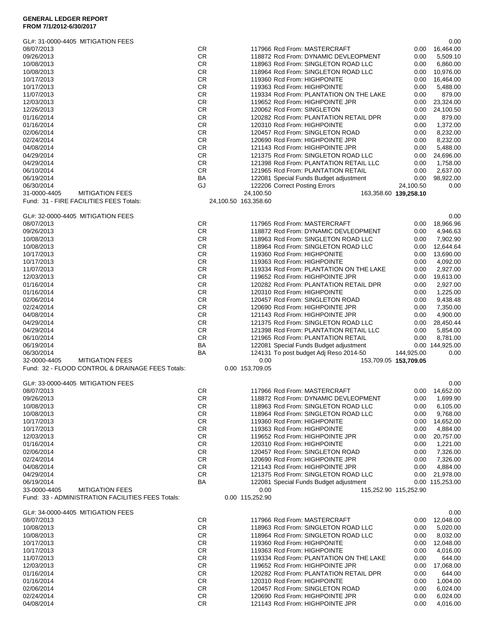### **GENERAL LEDGER REPORT FROM 7/1/2012-6/30/2017**

| GL#: 31-0000-4405 MITIGATION FEES                                                          |                        |                                                                             |                       |              | 0.00                   |
|--------------------------------------------------------------------------------------------|------------------------|-----------------------------------------------------------------------------|-----------------------|--------------|------------------------|
| 08/07/2013                                                                                 | CR                     | 117966 Rcd From: MASTERCRAFT                                                |                       | 0.00         | 16,464.00              |
| 09/26/2013<br>10/08/2013                                                                   | CR<br><b>CR</b>        | 118872 Rcd From: DYNAMIC DEVLEOPMENT<br>118963 Rcd From: SINGLETON ROAD LLC |                       | 0.00<br>0.00 | 5,509.10<br>6,860.00   |
| 10/08/2013                                                                                 | CR                     | 118964 Rcd From: SINGLETON ROAD LLC                                         |                       | 0.00         | 10,976.00              |
| 10/17/2013                                                                                 | CR.                    | 119360 Rcd From: HIGHPONITE                                                 |                       | 0.00         | 16,464.00              |
| 10/17/2013                                                                                 | CR                     | 119363 Rcd From: HIGHPOINTE                                                 |                       | 0.00         | 5,488.00               |
| 11/07/2013                                                                                 | CR                     | 119334 Rcd From: PLANTATION ON THE LAKE                                     |                       | 0.00         | 879.00                 |
| 12/03/2013                                                                                 | <b>CR</b>              | 119652 Rcd From: HIGHPOINTE JPR                                             |                       | 0.00         | 23,324.00              |
| 12/26/2013                                                                                 | <b>CR</b>              | 120062 Rcd From: SINGLETON                                                  |                       | 0.00         | 24,100.50              |
| 01/16/2014                                                                                 | CR                     | 120282 Rcd From: PLANTATION RETAIL DPR                                      |                       | 0.00         | 879.00                 |
| 01/16/2014                                                                                 | CR                     | 120310 Rcd From: HIGHPOINTE                                                 |                       | 0.00         | 1,372.00               |
| 02/06/2014                                                                                 | CR                     | 120457 Rcd From: SINGLETON ROAD                                             |                       | 0.00         | 8,232.00               |
| 02/24/2014<br>04/08/2014                                                                   | CR<br>CR               | 120690 Rcd From: HIGHPOINTE JPR<br>121143 Rcd From: HIGHPOINTE JPR          |                       | 0.00<br>0.00 | 8,232.00<br>5,488.00   |
| 04/29/2014                                                                                 | CR.                    | 121375 Rcd From: SINGLETON ROAD LLC                                         |                       | 0.00         | 24,696.00              |
| 04/29/2014                                                                                 | CR                     | 121398 Rcd From: PLANTATION RETAIL LLC                                      |                       | 0.00         | 1,758.00               |
| 06/10/2014                                                                                 | CR                     | 121965 Rcd From: PLANTATION RETAIL                                          |                       | 0.00         | 2,637.00               |
| 06/19/2014                                                                                 | BA                     | 122081 Special Funds Budget adjustment                                      |                       | 0.00         | 98,922.00              |
| 06/30/2014                                                                                 | GJ                     | 122206 Correct Posting Errors                                               |                       | 24,100.50    | 0.00                   |
| <b>MITIGATION FEES</b><br>31-0000-4405                                                     |                        | 24,100.50                                                                   | 163,358.60 139,258.10 |              |                        |
| Fund: 31 - FIRE FACILITIES FEES Totals:                                                    |                        | 24,100.50 163,358.60                                                        |                       |              |                        |
| GL#: 32-0000-4405 MITIGATION FEES                                                          |                        |                                                                             |                       |              | 0.00                   |
| 08/07/2013                                                                                 | <b>CR</b>              | 117965 Rcd From: MASTERCRAFT                                                |                       | 0.00         | 18,966.96              |
| 09/26/2013                                                                                 | CR                     | 118872 Rcd From: DYNAMIC DEVLEOPMENT                                        |                       | 0.00         | 4,946.63               |
| 10/08/2013                                                                                 | CR                     | 118963 Rcd From: SINGLETON ROAD LLC                                         |                       | 0.00         | 7,902.90               |
| 10/08/2013                                                                                 | CR                     | 118964 Rcd From: SINGLETON ROAD LLC                                         |                       | 0.00         | 12,644.64              |
| 10/17/2013                                                                                 | <b>CR</b>              | 119360 Rcd From: HIGHPONITE                                                 |                       | 0.00         | 13,690.00              |
| 10/17/2013                                                                                 | CR                     | 119363 Rcd From: HIGHPOINTE                                                 |                       | 0.00         | 4,092.00               |
| 11/07/2013<br>12/03/2013                                                                   | CR.<br>CR              | 119334 Rcd From: PLANTATION ON THE LAKE<br>119652 Rcd From: HIGHPOINTE JPR  |                       | 0.00<br>0.00 | 2,927.00<br>19,613.00  |
| 01/16/2014                                                                                 | CR                     | 120282 Rcd From: PLANTATION RETAIL DPR                                      |                       | 0.00         | 2,927.00               |
| 01/16/2014                                                                                 | <b>CR</b>              | 120310 Rcd From: HIGHPOINTE                                                 |                       | 0.00         | 1,225.00               |
| 02/06/2014                                                                                 | <b>CR</b>              | 120457 Rcd From: SINGLETON ROAD                                             |                       | 0.00         | 9,438.48               |
| 02/24/2014                                                                                 | CR.                    | 120690 Rcd From: HIGHPOINTE JPR                                             |                       | 0.00         | 7,350.00               |
| 04/08/2014                                                                                 | CR                     | 121143 Rcd From: HIGHPOINTE JPR                                             |                       | 0.00         | 4,900.00               |
| 04/29/2014                                                                                 | CR                     | 121375 Rcd From: SINGLETON ROAD LLC                                         |                       | 0.00         | 28,450.44              |
| 04/29/2014                                                                                 | <b>CR</b>              | 121398 Rcd From: PLANTATION RETAIL LLC                                      |                       | 0.00         | 5,854.00               |
| 06/10/2014                                                                                 | CR                     | 121965 Rcd From: PLANTATION RETAIL                                          |                       | 0.00         | 8,781.00               |
| 06/19/2014                                                                                 | <b>BA</b>              | 122081 Special Funds Budget adjustment                                      |                       |              | 0.00 144,925.00        |
| 06/30/2014                                                                                 | BA                     | 124131 To post budget Adj Reso 2014-50                                      |                       | 144,925.00   | 0.00                   |
| 32-0000-4405<br><b>MITIGATION FEES</b><br>Fund: 32 - FLOOD CONTROL & DRAINAGE FEES Totals: |                        | 0.00<br>0.00 153,709.05                                                     | 153,709.05 153,709.05 |              |                        |
|                                                                                            |                        |                                                                             |                       |              |                        |
| GL#: 33-0000-4405 MITIGATION FEES<br>08/07/2013                                            | <b>CR</b>              | 117966 Rcd From: MASTERCRAFT                                                |                       |              | 0.00<br>0.00 14,652.00 |
| 09/26/2013                                                                                 | CR                     | 118872 Rcd From: DYNAMIC DEVLEOPMENT                                        |                       | 0.00         | 1,699.90               |
| 10/08/2013                                                                                 | <b>CR</b>              | 118963 Rcd From: SINGLETON ROAD LLC                                         |                       | 0.00         | 6,105.00               |
| 10/08/2013                                                                                 | <b>CR</b>              | 118964 Rcd From: SINGLETON ROAD LLC                                         |                       | 0.00         | 9,768.00               |
| 10/17/2013                                                                                 | CR.                    | 119360 Rcd From: HIGHPONITE                                                 |                       | 0.00         | 14,652.00              |
| 10/17/2013                                                                                 | <b>CR</b>              | 119363 Rcd From: HIGHPOINTE                                                 |                       | 0.00         | 4,884.00               |
| 12/03/2013                                                                                 | CR                     | 119652 Rcd From: HIGHPOINTE JPR                                             |                       | 0.00         | 20,757.00              |
| 01/16/2014                                                                                 | <b>CR</b>              | 120310 Rcd From: HIGHPOINTE                                                 |                       | 0.00         | 1,221.00               |
| 02/06/2014                                                                                 | <b>CR</b>              | 120457 Rcd From: SINGLETON ROAD                                             |                       | 0.00         | 7,326.00               |
| 02/24/2014                                                                                 | CR.                    | 120690 Rcd From: HIGHPOINTE JPR                                             |                       | 0.00         | 7,326.00               |
| 04/08/2014                                                                                 | <b>CR</b>              | 121143 Rcd From: HIGHPOINTE JPR                                             |                       | 0.00         | 4,884.00               |
| 04/29/2014                                                                                 | CR                     | 121375 Rcd From: SINGLETON ROAD LLC                                         |                       | 0.00         | 21,978.00              |
| 06/19/2014<br>33-0000-4405<br><b>MITIGATION FEES</b>                                       | BA                     | 122081 Special Funds Budget adjustment<br>0.00                              | 115,252.90 115,252.90 |              | 0.00 115,253.00        |
| Fund: 33 - ADMINISTRATION FACILITIES FEES Totals:                                          |                        | 0.00 115,252.90                                                             |                       |              |                        |
| GL#: 34-0000-4405 MITIGATION FEES                                                          |                        |                                                                             |                       |              | 0.00                   |
| 08/07/2013                                                                                 |                        |                                                                             |                       |              |                        |
|                                                                                            |                        |                                                                             |                       |              |                        |
|                                                                                            | <b>CR</b>              | 117966 Rcd From: MASTERCRAFT                                                |                       | 0.00         | 12,048.00              |
| 10/08/2013                                                                                 | <b>CR</b>              | 118963 Rcd From: SINGLETON ROAD LLC                                         |                       | 0.00         | 5,020.00               |
| 10/08/2013<br>10/17/2013                                                                   | CR.<br><b>CR</b>       | 118964 Rcd From: SINGLETON ROAD LLC<br>119360 Rcd From: HIGHPONITE          |                       | 0.00<br>0.00 | 8,032.00               |
| 10/17/2013                                                                                 | CR                     | 119363 Rcd From: HIGHPOINTE                                                 |                       | 0.00         | 12,048.00<br>4,016.00  |
| 11/07/2013                                                                                 | <b>CR</b>              | 119334 Rcd From: PLANTATION ON THE LAKE                                     |                       | 0.00         | 644.00                 |
| 12/03/2013                                                                                 | <b>CR</b>              | 119652 Rcd From: HIGHPOINTE JPR                                             |                       | 0.00         | 17,068.00              |
| 01/16/2014                                                                                 | CR.                    | 120282 Rcd From: PLANTATION RETAIL DPR                                      |                       | 0.00         | 644.00                 |
| 01/16/2014                                                                                 | <b>CR</b>              | 120310 Rcd From: HIGHPOINTE                                                 |                       | 0.00         | 1,004.00               |
| 02/06/2014                                                                                 | CR                     | 120457 Rcd From: SINGLETON ROAD                                             |                       | 0.00         | 6,024.00               |
| 02/24/2014<br>04/08/2014                                                                   | <b>CR</b><br><b>CR</b> | 120690 Rcd From: HIGHPOINTE JPR<br>121143 Rcd From: HIGHPOINTE JPR          |                       | 0.00<br>0.00 | 6,024.00<br>4,016.00   |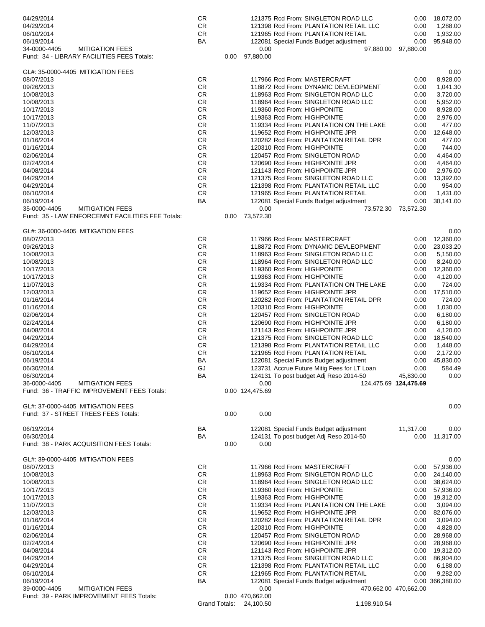| 04/29/2014                                                                            | CR                   |      |                              | 121375 Rcd From: SINGLETON ROAD LLC         | 0.00                  | 18,072.00       |
|---------------------------------------------------------------------------------------|----------------------|------|------------------------------|---------------------------------------------|-----------------------|-----------------|
| 04/29/2014                                                                            | <b>CR</b>            |      |                              | 121398 Rcd From: PLANTATION RETAIL LLC      | 0.00                  | 1,288.00        |
| 06/10/2014                                                                            | CR                   |      |                              | 121965 Rcd From: PLANTATION RETAIL          | 0.00                  | 1,932.00        |
| 06/19/2014                                                                            | <b>BA</b>            |      |                              | 122081 Special Funds Budget adjustment      | 0.00                  | 95.948.00       |
| 34-0000-4405<br><b>MITIGATION FEES</b>                                                |                      |      | 0.00                         | 97,880.00                                   | 97,880.00             |                 |
| Fund: 34 - LIBRARY FACILITIES FEES Totals:                                            |                      | 0.00 | 97.880.00                    |                                             |                       |                 |
|                                                                                       |                      |      |                              |                                             |                       |                 |
| GL#: 35-0000-4405 MITIGATION FEES                                                     |                      |      |                              |                                             |                       | 0.00            |
| 08/07/2013                                                                            | CR                   |      |                              | 117966 Rcd From: MASTERCRAFT                | 0.00                  | 8,928.00        |
| 09/26/2013                                                                            | CR                   |      |                              | 118872 Rcd From: DYNAMIC DEVLEOPMENT        | 0.00                  | 1,041.30        |
| 10/08/2013                                                                            | CR                   |      |                              | 118963 Rcd From: SINGLETON ROAD LLC         | 0.00                  | 3,720.00        |
| 10/08/2013                                                                            | CR                   |      |                              | 118964 Rcd From: SINGLETON ROAD LLC         | 0.00                  | 5,952.00        |
| 10/17/2013                                                                            | CR                   |      |                              | 119360 Rcd From: HIGHPONITE                 | 0.00                  | 8,928.00        |
| 10/17/2013                                                                            | CR                   |      |                              | 119363 Rcd From: HIGHPOINTE                 | 0.00                  | 2,976.00        |
| 11/07/2013                                                                            | CR                   |      |                              | 119334 Rcd From: PLANTATION ON THE LAKE     | 0.00                  | 477.00          |
| 12/03/2013                                                                            | CR                   |      |                              | 119652 Rcd From: HIGHPOINTE JPR             | 0.00                  | 12,648.00       |
| 01/16/2014                                                                            | CR                   |      |                              | 120282 Rcd From: PLANTATION RETAIL DPR      | 0.00                  | 477.00          |
| 01/16/2014                                                                            | CR                   |      |                              | 120310 Rcd From: HIGHPOINTE                 | 0.00                  | 744.00          |
| 02/06/2014                                                                            | CR                   |      |                              | 120457 Rcd From: SINGLETON ROAD             | 0.00                  | 4,464.00        |
| 02/24/2014                                                                            | <b>CR</b>            |      |                              | 120690 Rcd From: HIGHPOINTE JPR             | 0.00                  | 4,464.00        |
| 04/08/2014                                                                            | CR                   |      |                              | 121143 Rcd From: HIGHPOINTE JPR             | 0.00                  | 2,976.00        |
| 04/29/2014                                                                            | CR                   |      |                              | 121375 Rcd From: SINGLETON ROAD LLC         | 0.00                  | 13,392.00       |
| 04/29/2014                                                                            | CR                   |      |                              | 121398 Rcd From: PLANTATION RETAIL LLC      | 0.00                  | 954.00          |
| 06/10/2014                                                                            | <b>CR</b>            |      |                              | 121965 Rcd From: PLANTATION RETAIL          | 0.00                  | 1,431.00        |
| 06/19/2014                                                                            | ВA                   |      |                              | 122081 Special Funds Budget adjustment      | 0.00                  | 30,141.00       |
| <b>MITIGATION FEES</b><br>35-0000-4405                                                |                      |      | 0.00                         | 73,572.30                                   | 73,572.30             |                 |
| Fund: 35 - LAW ENFORCEMNT FACILITIES FEE Totals:                                      |                      | 0.00 | 73,572.30                    |                                             |                       |                 |
|                                                                                       |                      |      |                              |                                             |                       |                 |
| GL#: 36-0000-4405 MITIGATION FEES                                                     |                      |      |                              |                                             |                       | 0.00            |
| 08/07/2013                                                                            | CR                   |      |                              | 117966 Rcd From: MASTERCRAFT                | 0.00 <sub>1</sub>     | 12,360.00       |
| 09/26/2013                                                                            | CR                   |      |                              | 118872 Rcd From: DYNAMIC DEVLEOPMENT        | 0.00                  | 23,033.20       |
| 10/08/2013                                                                            | CR                   |      |                              | 118963 Rcd From: SINGLETON ROAD LLC         | 0.00                  | 5,150.00        |
| 10/08/2013                                                                            | CR                   |      |                              | 118964 Rcd From: SINGLETON ROAD LLC         | 0.00                  | 8,240.00        |
| 10/17/2013                                                                            | CR                   |      |                              | 119360 Rcd From: HIGHPONITE                 | 0.00                  | 12,360.00       |
| 10/17/2013                                                                            | CR                   |      |                              | 119363 Rcd From: HIGHPOINTE                 | 0.00                  | 4,120.00        |
|                                                                                       |                      |      |                              |                                             |                       |                 |
| 11/07/2013                                                                            | CR                   |      |                              | 119334 Rcd From: PLANTATION ON THE LAKE     | 0.00                  | 724.00          |
| 12/03/2013                                                                            | CR                   |      |                              | 119652 Rcd From: HIGHPOINTE JPR             | 0.00                  | 17,510.00       |
| 01/16/2014                                                                            | CR                   |      |                              | 120282 Rcd From: PLANTATION RETAIL DPR      | 0.00                  | 724.00          |
|                                                                                       |                      |      |                              | 120310 Rcd From: HIGHPOINTE                 | 0.00                  | 1,030.00        |
| 01/16/2014                                                                            | CR                   |      |                              |                                             |                       |                 |
| 02/06/2014                                                                            | <b>CR</b>            |      |                              | 120457 Rcd From: SINGLETON ROAD             | 0.00                  | 6,180.00        |
| 02/24/2014                                                                            | CR                   |      |                              | 120690 Rcd From: HIGHPOINTE JPR             | 0.00                  | 6.180.00        |
| 04/08/2014                                                                            | <b>CR</b>            |      |                              | 121143 Rcd From: HIGHPOINTE JPR             | 0.00                  | 4,120.00        |
| 04/29/2014                                                                            | CR                   |      |                              | 121375 Rcd From: SINGLETON ROAD LLC         | 0.00                  | 18,540.00       |
| 04/29/2014                                                                            | <b>CR</b>            |      |                              | 121398 Rcd From: PLANTATION RETAIL LLC      | 0.00                  | 1,448.00        |
| 06/10/2014                                                                            | CR                   |      |                              | 121965 Rcd From: PLANTATION RETAIL          | 0.00                  | 2,172.00        |
| 06/19/2014                                                                            | BA                   |      |                              | 122081 Special Funds Budget adjustment      | 0.00                  | 45,830.00       |
| 06/30/2014                                                                            | GJ                   |      |                              | 123731 Accrue Future Mitig Fees for LT Loan | 0.00                  | 584.49          |
|                                                                                       | BA                   |      |                              | 124131 To post budget Adj Reso 2014-50      |                       |                 |
| 06/30/2014                                                                            |                      |      |                              |                                             | 45,830.00             | 0.00            |
| 36-0000-4405<br><b>MITIGATION FEES</b><br>Fund: 36 - TRAFFIC IMPROVEMENT FEES Totals: |                      |      | 0.00<br>0.00 124,475.69      |                                             | 124,475.69 124,475.69 |                 |
|                                                                                       |                      |      |                              |                                             |                       |                 |
| GL#: 37-0000-4405 MITIGATION FEES                                                     |                      |      |                              |                                             |                       | 0.00            |
| Fund: 37 - STREET TREES FEES Totals:                                                  |                      | 0.00 | 0.00                         |                                             |                       |                 |
|                                                                                       |                      |      |                              |                                             |                       |                 |
| 06/19/2014                                                                            | BA                   |      |                              | 122081 Special Funds Budget adjustment      | 11,317.00             | 0.00            |
| 06/30/2014                                                                            | BA                   |      |                              | 124131 To post budget Adj Reso 2014-50      | 0.00                  | 11,317.00       |
| Fund: 38 - PARK ACQUISITION FEES Totals:                                              |                      | 0.00 | 0.00                         |                                             |                       |                 |
|                                                                                       |                      |      |                              |                                             |                       |                 |
| GL#: 39-0000-4405 MITIGATION FEES                                                     |                      |      |                              |                                             |                       | 0.00            |
| 08/07/2013                                                                            | <b>CR</b>            |      |                              | 117966 Rcd From: MASTERCRAFT                | 0.00 <sub>1</sub>     | 57,936.00       |
| 10/08/2013                                                                            | CR                   |      |                              | 118963 Rcd From: SINGLETON ROAD LLC         | 0.00                  | 24,140.00       |
| 10/08/2013                                                                            | CR                   |      |                              | 118964 Rcd From: SINGLETON ROAD LLC         | 0.00                  | 38,624.00       |
| 10/17/2013                                                                            | CR                   |      |                              | 119360 Rcd From: HIGHPONITE                 | 0.00                  | 57,936.00       |
|                                                                                       |                      |      |                              |                                             |                       |                 |
| 10/17/2013                                                                            | <b>CR</b>            |      |                              | 119363 Rcd From: HIGHPOINTE                 | 0.00                  | 19,312.00       |
| 11/07/2013                                                                            | CR                   |      |                              | 119334 Rcd From: PLANTATION ON THE LAKE     | 0.00                  | 3,094.00        |
| 12/03/2013                                                                            | CR                   |      |                              | 119652 Rcd From: HIGHPOINTE JPR             | 0.00                  | 82,076.00       |
| 01/16/2014                                                                            | CR                   |      |                              | 120282 Rcd From: PLANTATION RETAIL DPR      | 0.00                  | 3,094.00        |
| 01/16/2014                                                                            | CR                   |      |                              | 120310 Rcd From: HIGHPOINTE                 | 0.00                  | 4,828.00        |
| 02/06/2014                                                                            | CR                   |      |                              | 120457 Rcd From: SINGLETON ROAD             | 0.00                  | 28,968.00       |
| 02/24/2014                                                                            | CR                   |      |                              | 120690 Rcd From: HIGHPOINTE JPR             | 0.00                  | 28,968.00       |
| 04/08/2014                                                                            | CR                   |      |                              | 121143 Rcd From: HIGHPOINTE JPR             | 0.00                  | 19,312.00       |
| 04/29/2014                                                                            | CR                   |      |                              | 121375 Rcd From: SINGLETON ROAD LLC         | 0.00                  | 86,904.00       |
| 04/29/2014                                                                            | CR                   |      |                              | 121398 Rcd From: PLANTATION RETAIL LLC      | 0.00                  | 6,188.00        |
| 06/10/2014                                                                            | CR                   |      |                              | 121965 Rcd From: PLANTATION RETAIL          | 0.00                  | 9,282.00        |
| 06/19/2014                                                                            | ВA                   |      |                              | 122081 Special Funds Budget adjustment      |                       | 0.00 366,380.00 |
| 39-0000-4405<br><b>MITIGATION FEES</b>                                                |                      |      | 0.00                         |                                             | 470,662.00 470,662.00 |                 |
| Fund: 39 - PARK IMPROVEMENT FEES Totals:                                              | <b>Grand Totals:</b> |      | 0.00 470,662.00<br>24,100.50 | 1,198,910.54                                |                       |                 |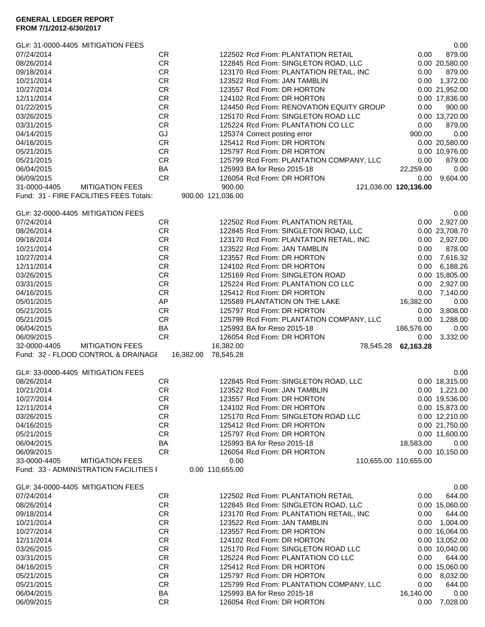|              | GL#: 31-0000-4405 MITIGATION FEES       |           |                   |                                         |                                          |                       | 0.00            |
|--------------|-----------------------------------------|-----------|-------------------|-----------------------------------------|------------------------------------------|-----------------------|-----------------|
| 07/24/2014   | <b>CR</b>                               |           |                   | 122502 Rcd From: PLANTATION RETAIL      |                                          | 0.00                  | 879.00          |
| 08/26/2014   | <b>CR</b>                               |           |                   | 122845 Rcd From: SINGLETON ROAD, LLC    |                                          |                       | 0.00 20,580.00  |
| 09/18/2014   | <b>CR</b>                               |           |                   | 123170 Rcd From: PLANTATION RETAIL, INC |                                          | 0.00                  | 879.00          |
| 10/21/2014   | <b>CR</b>                               |           |                   | 123522 Rcd From: JAN TAMBLIN            |                                          | 0.00                  | 1,372.00        |
| 10/27/2014   | <b>CR</b>                               |           |                   | 123557 Rcd From: DR HORTON              |                                          |                       | 0.00 21,952.00  |
| 12/11/2014   | <b>CR</b>                               |           |                   | 124102 Rcd From: DR HORTON              |                                          |                       | 0.00 17,836.00  |
| 01/22/2015   | <b>CR</b>                               |           |                   |                                         | 124450 Rcd From: RENOVATION EQUITY GROUP | 0.00                  | 900.00          |
| 03/26/2015   | <b>CR</b>                               |           |                   | 125170 Rcd From: SINGLETON ROAD LLC     |                                          |                       | 0.00 13,720.00  |
| 03/31/2015   | <b>CR</b>                               |           |                   | 125224 Rcd From: PLANTATION CO LLC      |                                          | 0.00                  | 879.00          |
| 04/14/2015   | GJ                                      |           |                   | 125374 Correct posting error            |                                          | 900.00                | 0.00            |
| 04/16/2015   | <b>CR</b>                               |           |                   | 125412 Rcd From: DR HORTON              |                                          |                       | 0.00 20,580.00  |
| 05/21/2015   | <b>CR</b>                               |           |                   | 125797 Rcd From: DR HORTON              |                                          |                       | 0.00 10,976.00  |
| 05/21/2015   | <b>CR</b>                               |           |                   |                                         | 125799 Rcd From: PLANTATION COMPANY, LLC | 0.00                  | 879.00          |
| 06/04/2015   | BA                                      |           |                   | 125993 BA for Reso 2015-18              |                                          | 22,259.00             | 0.00            |
| 06/09/2015   | <b>CR</b>                               |           |                   | 126054 Rcd From: DR HORTON              |                                          | 0.00                  | 9,604.00        |
| 31-0000-4405 | <b>MITIGATION FEES</b>                  |           | 900.00            |                                         | 121,036.00 120,136.00                    |                       |                 |
|              | Fund: 31 - FIRE FACILITIES FEES Totals: |           | 900.00 121,036.00 |                                         |                                          |                       |                 |
|              |                                         |           |                   |                                         |                                          |                       |                 |
|              | GL#: 32-0000-4405 MITIGATION FEES       |           |                   |                                         |                                          |                       | 0.00            |
| 07/24/2014   | CR                                      |           |                   | 122502 Rcd From: PLANTATION RETAIL      |                                          | 0.00                  | 2,927.00        |
| 08/26/2014   | <b>CR</b>                               |           |                   | 122845 Rcd From: SINGLETON ROAD, LLC    |                                          |                       | 0.00 23,708.70  |
| 09/18/2014   | CR                                      |           |                   | 123170 Rcd From: PLANTATION RETAIL, INC |                                          |                       | 0.00 2,927.00   |
| 10/21/2014   | <b>CR</b>                               |           |                   | 123522 Rcd From: JAN TAMBLIN            |                                          | 0.00                  | 878.00          |
| 10/27/2014   | <b>CR</b>                               |           |                   | 123557 Rcd From: DR HORTON              |                                          | 0.00                  | 7,616.32        |
| 12/11/2014   | <b>CR</b>                               |           |                   | 124102 Rcd From: DR HORTON              |                                          | 0.00                  | 6,188.26        |
| 03/26/2015   | <b>CR</b>                               |           |                   | 125169 Rcd From: SINGLETON ROAD         |                                          |                       | 0.00 15,805.00  |
| 03/31/2015   | <b>CR</b>                               |           |                   | 125224 Rcd From: PLANTATION CO LLC      |                                          | 0.00                  | 2,927.00        |
| 04/16/2015   | <b>CR</b>                               |           |                   | 125412 Rcd From: DR HORTON              |                                          | 0.00                  | 7,140.00        |
| 05/01/2015   | AP                                      |           |                   | 125589 PLANTATION ON THE LAKE           |                                          | 16,382.00             | 0.00            |
| 05/21/2015   | <b>CR</b>                               |           |                   | 125797 Rcd From: DR HORTON              |                                          | 0.00                  | 3,808.00        |
| 05/21/2015   | <b>CR</b>                               |           |                   |                                         | 125799 Rcd From: PLANTATION COMPANY, LLC | 0.00                  | 1,288.00        |
| 06/04/2015   | BA                                      |           |                   | 125993 BA for Reso 2015-18              |                                          | 186,576.00            | 0.00            |
| 06/09/2015   | <b>CR</b>                               |           |                   | 126054 Rcd From: DR HORTON              |                                          | 0.00                  | 3,332.00        |
| 32-0000-4405 | <b>MITIGATION FEES</b>                  |           | 16,382.00         |                                         | 78,545.28                                | 62,163.28             |                 |
|              | Fund: 32 - FLOOD CONTROL & DRAINAGE     | 16,382.00 | 78,545.28         |                                         |                                          |                       |                 |
|              |                                         |           |                   |                                         |                                          |                       |                 |
|              | GL#: 33-0000-4405 MITIGATION FEES       |           |                   |                                         |                                          |                       | 0.00            |
| 08/26/2014   | <b>CR</b>                               |           |                   | 122845 Rcd From: SINGLETON ROAD, LLC    |                                          |                       | 0.00 18,315.00  |
| 10/21/2014   | <b>CR</b>                               |           |                   | 123522 Rcd From: JAN TAMBLIN            |                                          |                       | $0.00$ 1,221.00 |
| 10/27/2014   | CR.                                     |           |                   | 123557 Rcd From: DR HORTON              |                                          |                       | 0.00 19,536.00  |
| 12/11/2014   | <b>CR</b>                               |           |                   | 124102 Rcd From: DR HORTON              |                                          |                       | 0.00 15,873.00  |
| 03/26/2015   | <b>CR</b>                               |           |                   | 125170 Rcd From: SINGLETON ROAD LLC     |                                          |                       | 0.00 12,210.00  |
| 04/16/2015   | CR                                      |           |                   | 125412 Rcd From: DR HORTON              |                                          |                       | 0.00 21,750.00  |
| 05/21/2015   | <b>CR</b>                               |           |                   | 125797 Rcd From: DR HORTON              |                                          |                       | 0.00 11,600.00  |
| 06/04/2015   | BA                                      |           |                   | 125993 BA for Reso 2015-18              |                                          | 18,583.00             | 0.00            |
| 06/09/2015   | <b>CR</b>                               |           |                   | 126054 Rcd From: DR HORTON              |                                          |                       | 0.00 10,150.00  |
| 33-0000-4405 | <b>MITIGATION FEES</b>                  |           | 0.00              |                                         |                                          | 110,655.00 110,655.00 |                 |
|              | Fund: 33 - ADMINISTRATION FACILITIES I  |           | 0.00 110,655.00   |                                         |                                          |                       |                 |
|              |                                         |           |                   |                                         |                                          |                       |                 |
|              | GL#: 34-0000-4405 MITIGATION FEES       |           |                   |                                         |                                          |                       | 0.00            |
| 07/24/2014   | CR.                                     |           |                   | 122502 Rcd From: PLANTATION RETAIL      |                                          | 0.00                  | 644.00          |
| 08/26/2014   | CR                                      |           |                   | 122845 Rcd From: SINGLETON ROAD, LLC    |                                          |                       | 0.00 15,060.00  |
| 09/18/2014   | <b>CR</b>                               |           |                   | 123170 Rcd From: PLANTATION RETAIL, INC |                                          | 0.00                  | 644.00          |
| 10/21/2014   | <b>CR</b>                               |           |                   | 123522 Rcd From: JAN TAMBLIN            |                                          | 0.00                  | 1,004.00        |
| 10/27/2014   | <b>CR</b>                               |           |                   | 123557 Rcd From: DR HORTON              |                                          |                       | 0.00 16,064.00  |
| 12/11/2014   | <b>CR</b>                               |           |                   | 124102 Rcd From: DR HORTON              |                                          |                       | 0.00 13,052.00  |
| 03/26/2015   | <b>CR</b>                               |           |                   | 125170 Rcd From: SINGLETON ROAD LLC     |                                          |                       | 0.00 10,040.00  |
| 03/31/2015   | <b>CR</b>                               |           |                   | 125224 Rcd From: PLANTATION CO LLC      |                                          | 0.00                  | 644.00          |
| 04/16/2015   | <b>CR</b>                               |           |                   | 125412 Rcd From: DR HORTON              |                                          |                       | 0.00 15,060.00  |
| 05/21/2015   | <b>CR</b>                               |           |                   | 125797 Rcd From: DR HORTON              |                                          | 0.00                  | 8,032.00        |
| 05/21/2015   | <b>CR</b>                               |           |                   |                                         | 125799 Rcd From: PLANTATION COMPANY, LLC | 0.00                  | 644.00          |
| 06/04/2015   | BA                                      |           |                   | 125993 BA for Reso 2015-18              |                                          | 16,140.00             | 0.00            |
| 06/09/2015   | <b>CR</b>                               |           |                   | 126054 Rcd From: DR HORTON              |                                          | 0.00                  | 7,028.00        |
|              |                                         |           |                   |                                         |                                          |                       |                 |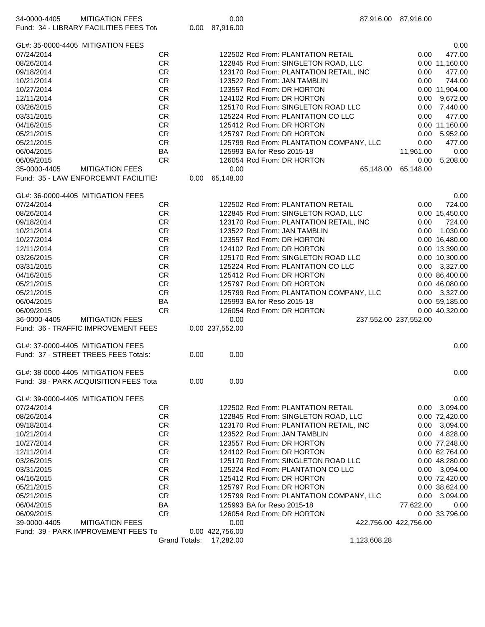| <b>MITIGATION FEES</b><br>34-0000-4405<br>Fund: 34 - LIBRARY FACILITIES FEES Tota |                      |      | 0.00<br>0.00 87,916.00 |                                          | 87,916.00 87,916.00   |                |
|-----------------------------------------------------------------------------------|----------------------|------|------------------------|------------------------------------------|-----------------------|----------------|
| GL#: 35-0000-4405 MITIGATION FEES                                                 |                      |      |                        |                                          |                       | 0.00           |
| 07/24/2014                                                                        | <b>CR</b>            |      |                        | 122502 Rcd From: PLANTATION RETAIL       | 0.00                  | 477.00         |
| 08/26/2014                                                                        | <b>CR</b>            |      |                        | 122845 Rcd From: SINGLETON ROAD, LLC     |                       | 0.00 11,160.00 |
| 09/18/2014                                                                        | CR                   |      |                        | 123170 Rcd From: PLANTATION RETAIL, INC  | 0.00                  | 477.00         |
| 10/21/2014                                                                        | <b>CR</b>            |      |                        | 123522 Rcd From: JAN TAMBLIN             | 0.00                  | 744.00         |
| 10/27/2014                                                                        | <b>CR</b>            |      |                        | 123557 Rcd From: DR HORTON               |                       | 0.00 11,904.00 |
| 12/11/2014                                                                        | <b>CR</b>            |      |                        | 124102 Rcd From: DR HORTON               | 0.00                  | 9,672.00       |
| 03/26/2015                                                                        | <b>CR</b>            |      |                        | 125170 Rcd From: SINGLETON ROAD LLC      | 0.00                  | 7,440.00       |
| 03/31/2015                                                                        | <b>CR</b>            |      |                        | 125224 Rcd From: PLANTATION CO LLC       | 0.00                  | 477.00         |
| 04/16/2015                                                                        | <b>CR</b>            |      |                        | 125412 Rcd From: DR HORTON               |                       | 0.00 11,160.00 |
| 05/21/2015                                                                        | <b>CR</b>            |      |                        | 125797 Rcd From: DR HORTON               | 0.00                  | 5,952.00       |
| 05/21/2015                                                                        | <b>CR</b>            |      |                        | 125799 Rcd From: PLANTATION COMPANY, LLC | 0.00                  | 477.00         |
| 06/04/2015                                                                        | BA                   |      |                        | 125993 BA for Reso 2015-18               | 11,961.00             | 0.00           |
| 06/09/2015                                                                        | <b>CR</b>            |      |                        | 126054 Rcd From: DR HORTON               | 0.00                  | 5,208.00       |
| 35-0000-4405<br><b>MITIGATION FEES</b>                                            |                      |      | 0.00                   | 65,148.00                                | 65,148.00             |                |
| Fund: 35 - LAW ENFORCEMNT FACILITIE!                                              |                      | 0.00 | 65,148.00              |                                          |                       |                |
| GL#: 36-0000-4405 MITIGATION FEES                                                 |                      |      |                        |                                          |                       | 0.00           |
| 07/24/2014                                                                        | <b>CR</b>            |      |                        | 122502 Rcd From: PLANTATION RETAIL       | 0.00                  | 724.00         |
| 08/26/2014                                                                        | CR                   |      |                        | 122845 Rcd From: SINGLETON ROAD, LLC     |                       | 0.00 15,450.00 |
| 09/18/2014                                                                        | <b>CR</b>            |      |                        | 123170 Rcd From: PLANTATION RETAIL, INC  | 0.00                  | 724.00         |
| 10/21/2014                                                                        | <b>CR</b>            |      |                        | 123522 Rcd From: JAN TAMBLIN             | 0.00                  | 1,030.00       |
| 10/27/2014                                                                        | <b>CR</b>            |      |                        | 123557 Rcd From: DR HORTON               |                       | 0.00 16,480.00 |
| 12/11/2014                                                                        | <b>CR</b>            |      |                        | 124102 Rcd From: DR HORTON               |                       | 0.00 13,390.00 |
| 03/26/2015                                                                        | <b>CR</b>            |      |                        | 125170 Rcd From: SINGLETON ROAD LLC      |                       | 0.00 10,300.00 |
| 03/31/2015                                                                        | <b>CR</b>            |      |                        | 125224 Rcd From: PLANTATION CO LLC       | 0.00                  | 3,327.00       |
| 04/16/2015                                                                        | <b>CR</b>            |      |                        | 125412 Rcd From: DR HORTON               |                       | 0.00 86,400.00 |
| 05/21/2015                                                                        | <b>CR</b>            |      |                        | 125797 Rcd From: DR HORTON               |                       | 0.00 46,080.00 |
| 05/21/2015                                                                        | <b>CR</b>            |      |                        | 125799 Rcd From: PLANTATION COMPANY, LLC | 0.00                  | 3,327.00       |
| 06/04/2015                                                                        | BA                   |      |                        | 125993 BA for Reso 2015-18               |                       | 0.00 59,185.00 |
| 06/09/2015                                                                        | <b>CR</b>            |      |                        | 126054 Rcd From: DR HORTON               |                       | 0.00 40,320.00 |
| 36-0000-4405<br><b>MITIGATION FEES</b>                                            |                      |      | 0.00                   |                                          | 237,552.00 237,552.00 |                |
| Fund: 36 - TRAFFIC IMPROVEMENT FEES                                               |                      |      | 0.00 237,552.00        |                                          |                       |                |
| GL#: 37-0000-4405 MITIGATION FEES                                                 |                      |      |                        |                                          |                       | 0.00           |
| Fund: 37 - STREET TREES FEES Totals:                                              |                      | 0.00 | 0.00                   |                                          |                       |                |
| GL#: 38-0000-4405 MITIGATION FEES                                                 |                      |      |                        |                                          |                       | 0.00           |
| Fund: 38 - PARK ACQUISITION FEES Tota                                             |                      | 0.00 | 0.00                   |                                          |                       |                |
| GL#: 39-0000-4405 MITIGATION FEES                                                 |                      |      |                        |                                          |                       | 0.00           |
| 07/24/2014                                                                        | CR.                  |      |                        | 122502 Rcd From: PLANTATION RETAIL       | 0.00                  | 3,094.00       |
| 08/26/2014                                                                        | CR                   |      |                        | 122845 Rcd From: SINGLETON ROAD, LLC     |                       | 0.00 72,420.00 |
| 09/18/2014                                                                        | <b>CR</b>            |      |                        | 123170 Rcd From: PLANTATION RETAIL, INC  | 0.00                  | 3,094.00       |
| 10/21/2014                                                                        | <b>CR</b>            |      |                        | 123522 Rcd From: JAN TAMBLIN             | 0.00                  | 4,828.00       |
| 10/27/2014                                                                        | <b>CR</b>            |      |                        | 123557 Rcd From: DR HORTON               |                       | 0.00 77,248.00 |
| 12/11/2014                                                                        | <b>CR</b>            |      |                        | 124102 Rcd From: DR HORTON               |                       | 0.00 62,764.00 |
| 03/26/2015                                                                        | <b>CR</b>            |      |                        | 125170 Rcd From: SINGLETON ROAD LLC      |                       | 0.00 48,280.00 |
| 03/31/2015                                                                        | <b>CR</b>            |      |                        | 125224 Rcd From: PLANTATION CO LLC       | 0.00                  | 3,094.00       |
| 04/16/2015                                                                        | CR.                  |      |                        | 125412 Rcd From: DR HORTON               |                       | 0.00 72,420.00 |
| 05/21/2015                                                                        | <b>CR</b>            |      |                        | 125797 Rcd From: DR HORTON               |                       | 0.00 38,624.00 |
| 05/21/2015                                                                        | <b>CR</b>            |      |                        | 125799 Rcd From: PLANTATION COMPANY, LLC | 0.00                  | 3,094.00       |
| 06/04/2015                                                                        | BA                   |      |                        | 125993 BA for Reso 2015-18               | 77,622.00             | 0.00           |
| 06/09/2015                                                                        | <b>CR</b>            |      |                        | 126054 Rcd From: DR HORTON               |                       | 0.00 33,796.00 |
| <b>MITIGATION FEES</b><br>39-0000-4405                                            |                      |      | 0.00                   |                                          | 422,756.00 422,756.00 |                |
| Fund: 39 - PARK IMPROVEMENT FEES To                                               |                      |      | 0.00 422,756.00        |                                          |                       |                |
|                                                                                   | <b>Grand Totals:</b> |      | 17,282.00              | 1,123,608.28                             |                       |                |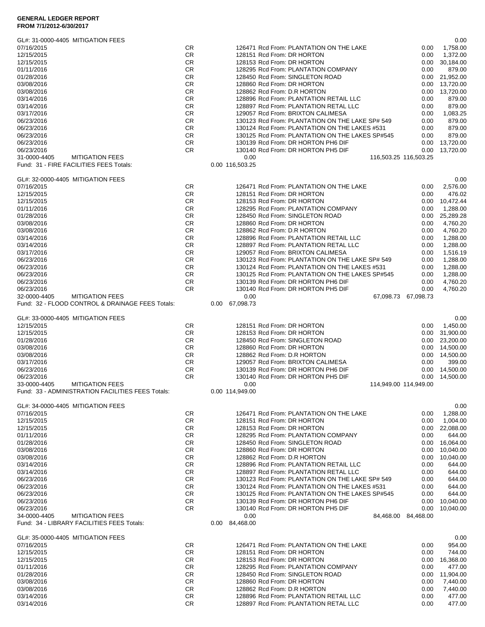## **GENERAL LEDGER REPORT**

| FROM 7/1/2012-6/30/2017 |  |
|-------------------------|--|
|-------------------------|--|

| GL#: 31-0000-4405 MITIGATION FEES                    |                        |                                                                                      |                   | 0.00                             |
|------------------------------------------------------|------------------------|--------------------------------------------------------------------------------------|-------------------|----------------------------------|
| 07/16/2015                                           | CR                     | 126471 Rcd From: PLANTATION ON THE LAKE                                              | 0.00              | 1,758.00                         |
| 12/15/2015<br>12/15/2015                             | <b>CR</b><br><b>CR</b> | 128151 Rcd From: DR HORTON<br>128153 Rcd From: DR HORTON                             | 0.00<br>0.00      | 1,372.00<br>30,184.00            |
| 01/11/2016                                           | CR                     | 128295 Rcd From: PLANTATION COMPANY                                                  | 0.00              | 879.00                           |
| 01/28/2016                                           | <b>CR</b>              | 128450 Rcd From: SINGLETON ROAD                                                      | 0.00              | 21,952.00                        |
| 03/08/2016                                           | CR                     | 128860 Rcd From: DR HORTON                                                           | 0.00              | 13,720.00                        |
| 03/08/2016                                           | <b>CR</b>              | 128862 Rcd From: D.R HORTON                                                          | 0.00              | 13.720.00                        |
| 03/14/2016                                           | CR                     | 128896 Rcd From: PLANTATION RETAIL LLC                                               | 0.00              | 879.00                           |
| 03/14/2016                                           | CR                     | 128897 Rcd From: PLANTATION RETAL LLC                                                | 0.00              | 879.00                           |
| 03/17/2016                                           | CR                     | 129057 Rcd From: BRIXTON CALIMESA<br>130123 Rcd From: PLANTATION ON THE LAKE SP# 549 | 0.00              | 1,083.25                         |
| 06/23/2016<br>06/23/2016                             | CR<br><b>CR</b>        | 130124 Rcd From: PLANTATION ON THE LAKES #531                                        | 0.00<br>0.00      | 879.00<br>879.00                 |
| 06/23/2016                                           | <b>CR</b>              | 130125 Rcd From: PLANTATION ON THE LAKES SP#545                                      | 0.00              | 879.00                           |
| 06/23/2016                                           | <b>CR</b>              | 130139 Rcd From: DR HORTON PH6 DIF                                                   | 0.00              | 13,720.00                        |
| 06/23/2016                                           | <b>CR</b>              | 130140 Rcd From: DR HORTON PH5 DIF                                                   | 0.00              | 13,720.00                        |
| 31-0000-4405<br><b>MITIGATION FEES</b>               |                        | 0.00<br>116,503.25 116,503.25                                                        |                   |                                  |
| Fund: 31 - FIRE FACILITIES FEES Totals:              |                        | 0.00 116,503.25                                                                      |                   |                                  |
| GL#: 32-0000-4405 MITIGATION FEES                    |                        |                                                                                      |                   | 0.00                             |
| 07/16/2015                                           | CR.                    | 126471 Rcd From: PLANTATION ON THE LAKE                                              | 0.00              | 2,576.00                         |
| 12/15/2015                                           | CR                     | 128151 Rcd From: DR HORTON                                                           | 0.00              | 476.02                           |
| 12/15/2015                                           | <b>CR</b>              | 128153 Rcd From: DR HORTON                                                           | 0.00              | 10,472.44                        |
| 01/11/2016                                           | CR                     | 128295 Rcd From: PLANTATION COMPANY                                                  | 0.00              | 1,288.00                         |
| 01/28/2016                                           | CR                     | 128450 Rcd From: SINGLETON ROAD                                                      | 0.00              | 25,289.28                        |
| 03/08/2016<br>03/08/2016                             | CR<br><b>CR</b>        | 128860 Rcd From: DR HORTON<br>128862 Rcd From: D.R HORTON                            | 0.00<br>0.00      | 4,760.20<br>4,760.20             |
| 03/14/2016                                           | <b>CR</b>              | 128896 Rcd From: PLANTATION RETAIL LLC                                               | 0.00              | 1,288.00                         |
| 03/14/2016                                           | <b>CR</b>              | 128897 Rcd From: PLANTATION RETAL LLC                                                | 0.00              | 1,288.00                         |
| 03/17/2016                                           | <b>CR</b>              | 129057 Rcd From: BRIXTON CALIMESA                                                    | 0.00              | 1,516.19                         |
| 06/23/2016                                           | CR.                    | 130123 Rcd From: PLANTATION ON THE LAKE SP# 549                                      | 0.00              | 1.288.00                         |
| 06/23/2016                                           | CR                     | 130124 Rcd From: PLANTATION ON THE LAKES #531                                        | 0.00              | 1,288.00                         |
| 06/23/2016                                           | CR.                    | 130125 Rcd From: PLANTATION ON THE LAKES SP#545                                      | 0.00              | 1,288.00                         |
| 06/23/2016                                           | <b>CR</b>              | 130139 Rcd From: DR HORTON PH6 DIF                                                   | 0.00              | 4,760.20                         |
| 06/23/2016<br><b>MITIGATION FEES</b><br>32-0000-4405 | CR                     | 130140 Rcd From: DR HORTON PH5 DIF<br>0.00                                           | 0.00<br>67,098.73 | 4,760.20                         |
| Fund: 32 - FLOOD CONTROL & DRAINAGE FEES Totals:     |                        | 67,098.73<br>67,098.73<br>0.00                                                       |                   |                                  |
|                                                      |                        |                                                                                      |                   |                                  |
| GL#: 33-0000-4405 MITIGATION FEES                    |                        |                                                                                      |                   | 0.00                             |
| 12/15/2015                                           | CR                     | 128151 Rcd From: DR HORTON                                                           | 0.00              | 1,450.00                         |
| 12/15/2015<br>01/28/2016                             | <b>CR</b><br><b>CR</b> | 128153 Rcd From: DR HORTON<br>128450 Rcd From: SINGLETON ROAD                        |                   | 0.00 31,900.00<br>0.00 23,200.00 |
| 03/08/2016                                           | CR                     | 128860 Rcd From: DR HORTON                                                           |                   | 0.00 14,500.00                   |
| 03/08/2016                                           | CR.                    | 128862 Rcd From: D.R HORTON                                                          | 0.00              | 14,500.00                        |
| 03/17/2016                                           | <b>CR</b>              | 129057 Rcd From: BRIXTON CALIMESA                                                    | 0.00              | 399.00                           |
| 06/23/2016                                           | CR                     | 130139 Rcd From: DR HORTON PH6 DIF                                                   | 0.00              | 14,500.00                        |
| 06/23/2016                                           | <b>CR</b>              | 130140 Rcd From: DR HORTON PH5 DIF                                                   | 0.00              | 14,500.00                        |
| 33-0000-4405<br><b>MITIGATION FEES</b>               |                        | 0.00<br>114,949.00 114,949.00                                                        |                   |                                  |
| Fund: 33 - ADMINISTRATION FACILITIES FEES Totals:    |                        | 0.00 114,949.00                                                                      |                   |                                  |
| GL#: 34-0000-4405 MITIGATION FEES                    |                        |                                                                                      |                   | 0.00                             |
| 07/16/2015                                           | CR                     | 126471 Rcd From: PLANTATION ON THE LAKE                                              | 0.00              | 1,288.00                         |
| 12/15/2015                                           | CR                     | 128151 Rcd From: DR HORTON                                                           | 0.00              | 1.004.00                         |
| 12/15/2015                                           | <b>CR</b>              | 128153 Rcd From: DR HORTON                                                           | 0.00              | 22,088.00                        |
| 01/11/2016                                           | CR                     | 128295 Rcd From: PLANTATION COMPANY<br>128450 Rcd From: SINGLETON ROAD               | 0.00              | 644.00                           |
| 01/28/2016<br>03/08/2016                             | CR<br>CR               | 128860 Rcd From: DR HORTON                                                           | 0.00<br>0.00      | 16,064.00<br>10,040.00           |
| 03/08/2016                                           | CR                     | 128862 Rcd From: D.R HORTON                                                          | 0.00              | 10,040.00                        |
| 03/14/2016                                           | CR                     | 128896 Rcd From: PLANTATION RETAIL LLC                                               | 0.00              | 644.00                           |
| 03/14/2016                                           | CR                     | 128897 Rcd From: PLANTATION RETAL LLC                                                | 0.00              | 644.00                           |
| 06/23/2016                                           | CR                     | 130123 Rcd From: PLANTATION ON THE LAKE SP# 549                                      | 0.00              | 644.00                           |
| 06/23/2016                                           | CR                     | 130124 Rcd From: PLANTATION ON THE LAKES #531                                        | 0.00              | 644.00                           |
| 06/23/2016                                           | CR                     | 130125 Rcd From: PLANTATION ON THE LAKES SP#545                                      | 0.00              | 644.00                           |
| 06/23/2016<br>06/23/2016                             | CR<br><b>CR</b>        | 130139 Rcd From: DR HORTON PH6 DIF<br>130140 Rcd From: DR HORTON PH5 DIF             | 0.00<br>0.00      | 10,040.00<br>10,040.00           |
| 34-0000-4405<br><b>MITIGATION FEES</b>               |                        | 0.00<br>84,468.00                                                                    | 84,468.00         |                                  |
| Fund: 34 - LIBRARY FACILITIES FEES Totals:           |                        | 0.00 84,468.00                                                                       |                   |                                  |
|                                                      |                        |                                                                                      |                   |                                  |
| GL#: 35-0000-4405 MITIGATION FEES                    |                        |                                                                                      |                   | 0.00                             |
| 07/16/2015                                           | CR.                    | 126471 Rcd From: PLANTATION ON THE LAKE                                              | 0.00              | 954.00                           |
| 12/15/2015<br>12/15/2015                             | CR<br>CR               | 128151 Rcd From: DR HORTON<br>128153 Rcd From: DR HORTON                             | 0.00<br>0.00      | 744.00                           |
| 01/11/2016                                           | <b>CR</b>              | 128295 Rcd From: PLANTATION COMPANY                                                  | 0.00              | 16,368.00<br>477.00              |
| 01/28/2016                                           | CR                     | 128450 Rcd From: SINGLETON ROAD                                                      | 0.00              | 11,904.00                        |
| 03/08/2016                                           | CR                     | 128860 Rcd From: DR HORTON                                                           | 0.00              | 7,440.00                         |
| 03/08/2016                                           | CR                     | 128862 Rcd From: D.R HORTON                                                          | 0.00              | 7,440.00                         |
| 03/14/2016                                           | CR                     | 128896 Rcd From: PLANTATION RETAIL LLC                                               | 0.00              | 477.00                           |
| 03/14/2016                                           | <b>CR</b>              | 128897 Rcd From: PLANTATION RETAL LLC                                                | 0.00              | 477.00                           |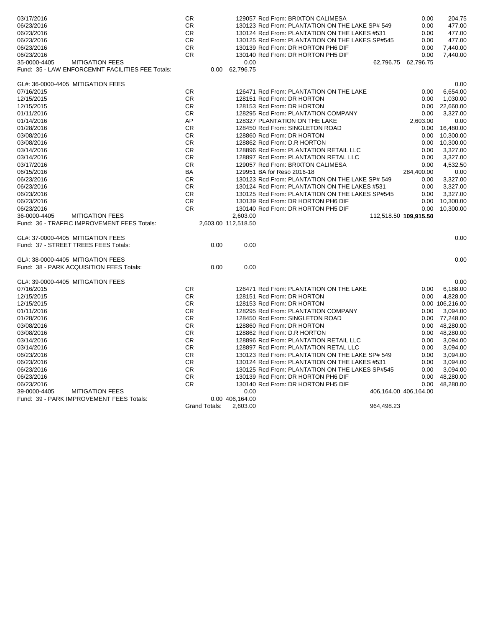| 03/17/2016<br>CR<br>129057 Rcd From: BRIXTON CALIMESA                                                                                             | 0.00                | 204.75          |
|---------------------------------------------------------------------------------------------------------------------------------------------------|---------------------|-----------------|
| 06/23/2016<br><b>CR</b><br>130123 Rcd From: PLANTATION ON THE LAKE SP# 549                                                                        | 0.00                | 477.00          |
| 06/23/2016<br><b>CR</b><br>130124 Rcd From: PLANTATION ON THE LAKES #531                                                                          | 0.00                | 477.00          |
| <b>CR</b><br>130125 Rcd From: PLANTATION ON THE LAKES SP#545<br>06/23/2016                                                                        | 0.00                | 477.00          |
| <b>CR</b><br>06/23/2016<br>130139 Rcd From: DR HORTON PH6 DIF                                                                                     | 0.00                | 7,440.00        |
| <b>CR</b><br>130140 Rcd From: DR HORTON PH5 DIF<br>06/23/2016                                                                                     | 0.00                | 7,440.00        |
| 35-0000-4405<br><b>MITIGATION FEES</b><br>0.00                                                                                                    | 62,796.75 62,796.75 |                 |
| Fund: 35 - LAW ENFORCEMNT FACILITIES FEE Totals:<br>0.00 62,796.75                                                                                |                     |                 |
| GL#: 36-0000-4405 MITIGATION FEES                                                                                                                 |                     | 0.00            |
| 07/16/2015<br><b>CR</b><br>126471 Rcd From: PLANTATION ON THE LAKE                                                                                | 0.00                | 6.654.00        |
| 12/15/2015<br>CR.<br>128151 Rcd From: DR HORTON                                                                                                   | 0.00                | 1,030.00        |
| 12/15/2015<br><b>CR</b><br>128153 Rcd From: DR HORTON                                                                                             | 0.00                | 22,660.00       |
| 01/11/2016<br><b>CR</b><br>128295 Rcd From: PLANTATION COMPANY                                                                                    | 0.00                | 3,327.00        |
| AP<br>128327 PLANTATION ON THE LAKE<br>01/14/2016                                                                                                 | 2,603.00            | 0.00            |
| <b>CR</b><br>128450 Rcd From: SINGLETON ROAD<br>01/28/2016                                                                                        | 0.00                | 16,480.00       |
| 128860 Rcd From: DR HORTON<br>03/08/2016<br><b>CR</b>                                                                                             | 0.00                | 10,300.00       |
| <b>CR</b><br>03/08/2016<br>128862 Rcd From: D.R HORTON                                                                                            | 0.00                | 10,300.00       |
| <b>CR</b><br>128896 Rcd From: PLANTATION RETAIL LLC<br>03/14/2016                                                                                 | 0.00                | 3,327.00        |
| 03/14/2016<br><b>CR</b><br>128897 Rcd From: PLANTATION RETAL LLC                                                                                  | 0.00                | 3,327.00        |
| 03/17/2016<br><b>CR</b><br>129057 Rcd From: BRIXTON CALIMESA                                                                                      | 0.00                | 4,532.50        |
| 06/15/2016<br><b>BA</b><br>129951 BA for Reso 2016-18                                                                                             |                     | 0.00            |
|                                                                                                                                                   | 284,400.00          |                 |
| 06/23/2016<br><b>CR</b><br>130123 Rcd From: PLANTATION ON THE LAKE SP# 549<br><b>CR</b>                                                           | 0.00                | 3,327.00        |
| 06/23/2016<br>130124 Rcd From: PLANTATION ON THE LAKES #531                                                                                       | 0.00                | 3,327.00        |
| 06/23/2016<br><b>CR</b><br>130125 Rcd From: PLANTATION ON THE LAKES SP#545<br><b>CR</b><br>130139 Rcd From: DR HORTON PH6 DIF                     | 0.00                | 3,327.00        |
| 06/23/2016                                                                                                                                        | 0.00                | 10,300.00       |
| 06/23/2016<br><b>CR</b><br>130140 Rcd From: DR HORTON PH5 DIF                                                                                     | 0.00                | 10,300.00       |
| 36-0000-4405<br><b>MITIGATION FEES</b><br>2.603.00<br>112,518.50 109,915.50<br>Fund: 36 - TRAFFIC IMPROVEMENT FEES Totals:<br>2,603.00 112,518.50 |                     |                 |
|                                                                                                                                                   |                     |                 |
| GL#: 37-0000-4405 MITIGATION FEES                                                                                                                 |                     | 0.00            |
| Fund: 37 - STREET TREES FEES Totals:<br>0.00<br>0.00                                                                                              |                     |                 |
| GL#: 38-0000-4405 MITIGATION FEES                                                                                                                 |                     | 0.00            |
| Fund: 38 - PARK ACQUISITION FEES Totals:<br>0.00<br>0.00                                                                                          |                     |                 |
| GL#: 39-0000-4405 MITIGATION FEES                                                                                                                 |                     | 0.00            |
| 07/16/2015<br><b>CR</b><br>126471 Rcd From: PLANTATION ON THE LAKE                                                                                | 0.00                | 6,188.00        |
| 12/15/2015<br><b>CR</b><br>128151 Rcd From: DR HORTON                                                                                             | 0.00                | 4,828.00        |
| 12/15/2015<br><b>CR</b><br>128153 Rcd From: DR HORTON                                                                                             |                     | 0.00 106,216.00 |
| <b>CR</b><br>128295 Rcd From: PLANTATION COMPANY<br>01/11/2016                                                                                    | 0.00                | 3,094.00        |
| <b>CR</b><br>128450 Rcd From: SINGLETON ROAD<br>01/28/2016                                                                                        |                     | 0.00 77,248.00  |
| <b>CR</b><br>128860 Rcd From: DR HORTON<br>03/08/2016                                                                                             |                     | 0.00 48,280.00  |
| <b>CR</b><br>03/08/2016<br>128862 Rcd From: D.R HORTON                                                                                            |                     | 0.00 48,280.00  |
| CR.<br>128896 Rcd From: PLANTATION RETAIL LLC<br>03/14/2016                                                                                       | 0.00                | 3,094.00        |
| <b>CR</b><br>03/14/2016<br>128897 Rcd From: PLANTATION RETAL LLC                                                                                  |                     | 3,094.00        |
|                                                                                                                                                   |                     |                 |
|                                                                                                                                                   | 0.00                |                 |
| CR.<br>130123 Rcd From: PLANTATION ON THE LAKE SP# 549<br>06/23/2016                                                                              | 0.00                | 3,094.00        |
| 06/23/2016<br><b>CR</b><br>130124 Rcd From: PLANTATION ON THE LAKES #531                                                                          | 0.00                | 3.094.00        |
| 06/23/2016<br>CR<br>130125 Rcd From: PLANTATION ON THE LAKES SP#545                                                                               | 0.00                | 3,094.00        |
| <b>CR</b><br>130139 Rcd From: DR HORTON PH6 DIF<br>06/23/2016                                                                                     | 0.00                | 48,280.00       |
| <b>CR</b><br>06/23/2016<br>130140 Rcd From: DR HORTON PH5 DIF                                                                                     | 0.00                | 48,280.00       |
| 39-0000-4405<br><b>MITIGATION FEES</b><br>0.00<br>406,164.00 406,164.00<br>Fund: 39 - PARK IMPROVEMENT FEES Totals:<br>0.00 406,164.00            |                     |                 |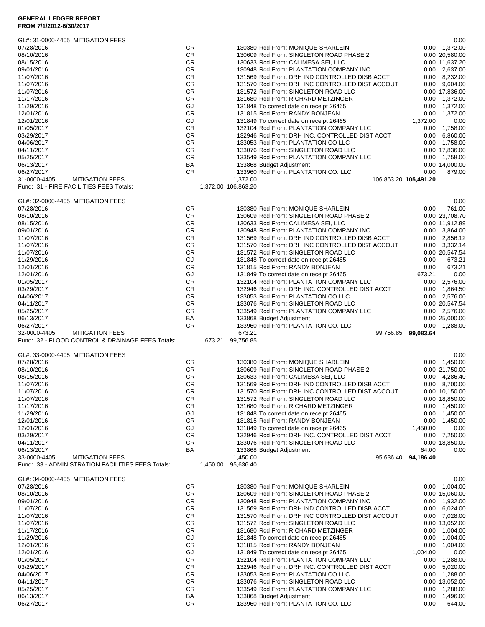# **GENERAL LEDGER REPORT**

| GL#: 31-0000-4405 MITIGATION FEES                 |                  |                                                                               |                     | 0.00                             |
|---------------------------------------------------|------------------|-------------------------------------------------------------------------------|---------------------|----------------------------------|
| 07/28/2016                                        | СR               | 130380 Rcd From: MONIQUE SHARLEIN                                             |                     | 0.00 1,372.00                    |
| 08/10/2016                                        | CR               | 130609 Rcd From: SINGLETON ROAD PHASE 2                                       |                     | 0.00 20,580.00                   |
| 08/15/2016                                        | CR               | 130633 Rcd From: CALIMESA SEI, LLC                                            |                     | 0.00 11,637.20                   |
| 09/01/2016                                        | <b>CR</b>        | 130948 Rcd From: PLANTATION COMPANY INC                                       |                     | $0.00$ 2,637.00                  |
| 11/07/2016                                        | CR               | 131569 Rcd From: DRH IND CONTROLLED DISB ACCT                                 |                     | $0.00 \quad 8,232.00$            |
| 11/07/2016                                        | CR               | 131570 Rcd From: DRH INC CONTROLLED DIST ACCOUT                               |                     | 0.00 9,604.00                    |
| 11/07/2016                                        | CR.<br><b>CR</b> | 131572 Rcd From: SINGLETON ROAD LLC                                           |                     | 0.00 17,836.00                   |
| 11/17/2016<br>11/29/2016                          | GJ               | 131680 Rcd From: RICHARD METZINGER<br>131848 To correct date on receipt 26465 |                     | 0.00 1,372.00<br>0.00 1,372.00   |
| 12/01/2016                                        | <b>CR</b>        | 131815 Rcd From: RANDY BONJEAN                                                | 0.00                | 1,372.00                         |
| 12/01/2016                                        | GJ               | 131849 To correct date on receipt 26465                                       | 1,372.00            | 0.00                             |
| 01/05/2017                                        | CR               | 132104 Rcd From: PLANTATION COMPANY LLC                                       | 0.00                | 1,758.00                         |
| 03/29/2017                                        | <b>CR</b>        | 132946 Rcd From: DRH INC. CONTROLLED DIST ACCT                                | 0.00                | 6,860.00                         |
| 04/06/2017                                        | <b>CR</b>        | 133053 Rcd From: PLANTATION CO LLC                                            |                     | 0.00 1,758.00                    |
| 04/11/2017                                        | <b>CR</b>        | 133076 Rcd From: SINGLETON ROAD LLC                                           |                     | 0.00 17,836.00                   |
| 05/25/2017                                        | <b>CR</b>        | 133549 Rcd From: PLANTATION COMPANY LLC                                       |                     | 0.00 1,758.00                    |
| 06/13/2017                                        | BA               | 133868 Budget Adjustment                                                      |                     | 0.00 14,000.00                   |
| 06/27/2017                                        | <b>CR</b>        | 133960 Rcd From: PLANTATION CO. LLC                                           | 0.00                | 879.00                           |
| <b>MITIGATION FEES</b><br>31-0000-4405            |                  | 1,372.00<br>106,863.20 105,491.20                                             |                     |                                  |
| Fund: 31 - FIRE FACILITIES FEES Totals:           |                  | 1,372.00 106,863.20                                                           |                     |                                  |
|                                                   |                  |                                                                               |                     |                                  |
| GL#: 32-0000-4405 MITIGATION FEES<br>07/28/2016   | CR               | 130380 Rcd From: MONIQUE SHARLEIN                                             | 0.00                | 0.00<br>761.00                   |
|                                                   |                  | 130609 Rcd From: SINGLETON ROAD PHASE 2                                       |                     |                                  |
| 08/10/2016<br>08/15/2016                          | CR<br>CR         | 130633 Rcd From: CALIMESA SEI, LLC                                            |                     | 0.00 23,708.70<br>0.00 11,912.89 |
| 09/01/2016                                        | <b>CR</b>        | 130948 Rcd From: PLANTATION COMPANY INC                                       |                     | 0.00 3,864.00                    |
| 11/07/2016                                        | <b>CR</b>        | 131569 Rcd From: DRH IND CONTROLLED DISB ACCT                                 |                     | $0.00$ 2,856.12                  |
| 11/07/2016                                        | <b>CR</b>        | 131570 Rcd From: DRH INC CONTROLLED DIST ACCOUT                               |                     | 0.00 3,332.14                    |
| 11/07/2016                                        | <b>CR</b>        | 131572 Rcd From: SINGLETON ROAD LLC                                           |                     | 0.00 20,547.54                   |
| 11/29/2016                                        | GJ               | 131848 To correct date on receipt 26465                                       | 0.00                | 673.21                           |
| 12/01/2016                                        | CR               | 131815 Rcd From: RANDY BONJEAN                                                | 0.00                | 673.21                           |
| 12/01/2016                                        | GJ               | 131849 To correct date on receipt 26465                                       | 673.21              | 0.00                             |
| 01/05/2017                                        | <b>CR</b>        | 132104 Rcd From: PLANTATION COMPANY LLC                                       |                     | 0.00 2,576.00                    |
| 03/29/2017                                        | <b>CR</b>        | 132946 Rcd From: DRH INC. CONTROLLED DIST ACCT                                |                     | 0.00 1,864.50                    |
| 04/06/2017                                        | CR.              | 133053 Rcd From: PLANTATION CO LLC                                            |                     | 0.00 2,576.00                    |
| 04/11/2017                                        | CR               | 133076 Rcd From: SINGLETON ROAD LLC                                           |                     | 0.00 20,547.54                   |
| 05/25/2017                                        | <b>CR</b>        | 133549 Rcd From: PLANTATION COMPANY LLC                                       |                     | 0.00 2,576.00                    |
| 06/13/2017                                        | ΒA               |                                                                               |                     | 0.00 25,000.00                   |
|                                                   |                  | 133868 Budget Adjustment                                                      |                     |                                  |
| 06/27/2017                                        | <b>CR</b>        | 133960 Rcd From: PLANTATION CO. LLC                                           |                     | $0.00$ 1,288.00                  |
| <b>MITIGATION FEES</b><br>32-0000-4405            |                  | 673.21                                                                        | 99,756.85 99,083.64 |                                  |
| Fund: 32 - FLOOD CONTROL & DRAINAGE FEES Totals:  |                  | 673.21 99,756.85                                                              |                     |                                  |
|                                                   |                  |                                                                               |                     |                                  |
| GL#: 33-0000-4405 MITIGATION FEES                 |                  |                                                                               |                     | 0.00                             |
| 07/28/2016                                        | CR.              | 130380 Rcd From: MONIQUE SHARLEIN                                             |                     | $0.00 \quad 1,450.00$            |
| 08/10/2016                                        | CR               | 130609 Rcd From: SINGLETON ROAD PHASE 2                                       |                     | 0.00 21,750.00                   |
| 08/15/2016                                        | CR               | 130633 Rcd From: CALIMESA SEI, LLC                                            |                     | 0.00 4,286.40                    |
| 11/07/2016                                        | CR               | 131569 Rcd From: DRH IND CONTROLLED DISB ACCT                                 |                     | 0.00 8,700.00                    |
| 11/07/2016                                        | CR               | 131570 Rcd From: DRH INC CONTROLLED DIST ACCOUT                               |                     | 0.00 10,150.00                   |
| 11/07/2016<br>11/17/2016                          | СR<br>CR         | 131572 Rcd From: SINGLETON ROAD LLC<br>131680 Rcd From: RICHARD METZINGER     |                     | 0.00 18,850.00                   |
| 11/29/2016                                        | GJ               | 131848 To correct date on receipt 26465                                       | 0.00                | 0.00 1,450.00<br>1,450.00        |
| 12/01/2016                                        | <b>CR</b>        |                                                                               | 0.00                | 1,450.00                         |
| 12/01/2016                                        | GJ               | 131815 Rcd From: RANDY BONJEAN<br>131849 To correct date on receipt 26465     | 1,450.00            | 0.00                             |
| 03/29/2017                                        | <b>CR</b>        | 132946 Rcd From: DRH INC. CONTROLLED DIST ACCT                                |                     | $0.00$ 7,250.00                  |
| 04/11/2017                                        | CR               | 133076 Rcd From: SINGLETON ROAD LLC                                           |                     | 0.00 18,850.00                   |
| 06/13/2017                                        | ΒA               | 133868 Budget Adjustment                                                      | 64.00               | 0.00                             |
| 33-0000-4405<br><b>MITIGATION FEES</b>            |                  | 1,450.00<br>95.636.40                                                         | 94,186.40           |                                  |
| Fund: 33 - ADMINISTRATION FACILITIES FEES Totals: |                  | 95,636.40<br>1,450.00                                                         |                     |                                  |
| GL#: 34-0000-4405 MITIGATION FEES                 |                  |                                                                               |                     | 0.00                             |
| 07/28/2016                                        | CR               | 130380 Rcd From: MONIQUE SHARLEIN                                             |                     | $0.00$ 1,004.00                  |
| 08/10/2016                                        | CR               | 130609 Rcd From: SINGLETON ROAD PHASE 2                                       |                     | 0.00 15,060.00                   |
| 09/01/2016                                        | CR               | 130948 Rcd From: PLANTATION COMPANY INC                                       |                     | $0.00$ 1,932.00                  |
| 11/07/2016                                        | CR               | 131569 Rcd From: DRH IND CONTROLLED DISB ACCT                                 |                     | $0.00 \quad 6,024.00$            |
| 11/07/2016                                        | <b>CR</b>        | 131570 Rcd From: DRH INC CONTROLLED DIST ACCOUT                               |                     | 0.00 7,028.00                    |
| 11/07/2016                                        | CR               | 131572 Rcd From: SINGLETON ROAD LLC                                           |                     | 0.00 13,052.00                   |
| 11/17/2016                                        | CR               | 131680 Rcd From: RICHARD METZINGER                                            |                     | 0.00 1,004.00                    |
| 11/29/2016                                        | GJ               | 131848 To correct date on receipt 26465                                       | 0.00                | 1,004.00                         |
| 12/01/2016                                        | CR               | 131815 Rcd From: RANDY BONJEAN                                                | 0.00                | 1,004.00                         |
| 12/01/2016                                        | GJ               | 131849 To correct date on receipt 26465                                       | 1,004.00            | 0.00                             |
| 01/05/2017                                        | CR               | 132104 Rcd From: PLANTATION COMPANY LLC                                       | 0.00                | 1,288.00                         |
| 03/29/2017                                        | CR               | 132946 Rcd From: DRH INC. CONTROLLED DIST ACCT                                |                     | $0.00$ 5,020.00                  |
| 04/06/2017                                        | CR               | 133053 Rcd From: PLANTATION CO LLC                                            |                     | $0.00$ 1,288.00                  |
| 04/11/2017                                        | CR               | 133076 Rcd From: SINGLETON ROAD LLC                                           |                     | 0.00 13,052.00                   |
| 05/25/2017<br>06/13/2017                          | CR<br>ΒA         | 133549 Rcd From: PLANTATION COMPANY LLC<br>133868 Budget Adjustment           | 0.00<br>0.00        | 1,288.00<br>1,496.00             |